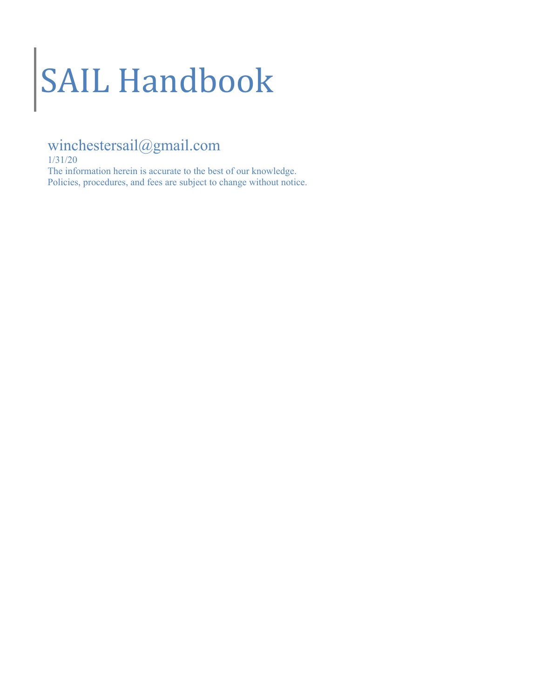# SAIL Handbook

# winchestersail@gmail.com

1/31/20

The information herein is accurate to the best of our knowledge. Policies, procedures, and fees are subject to change without notice.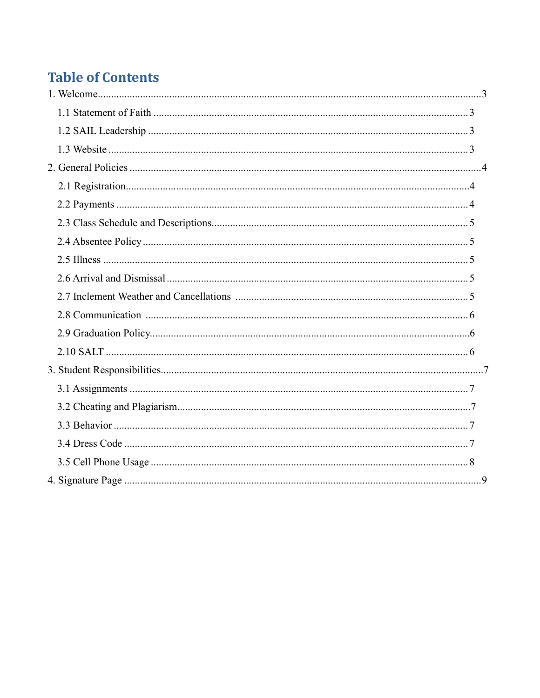# **Table of Contents**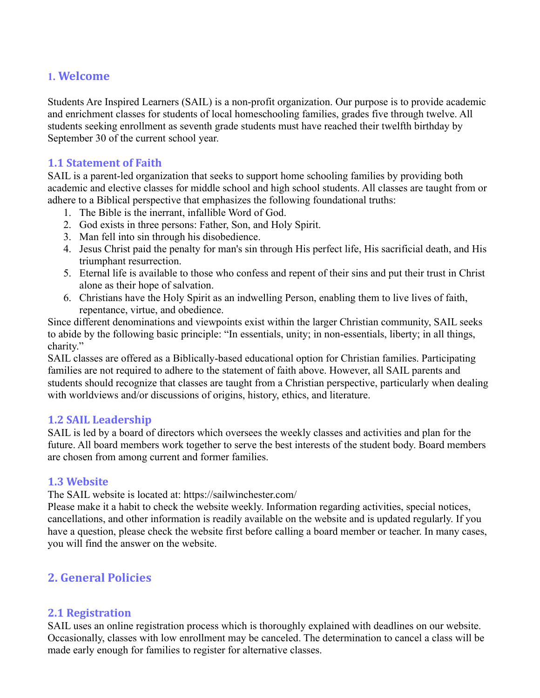# **1. Welcome**

Students Are Inspired Learners (SAIL) is a non-profit organization. Our purpose is to provide academic and enrichment classes for students of local homeschooling families, grades five through twelve. All students seeking enrollment as seventh grade students must have reached their twelfth birthday by September 30 of the current school year.

#### **1.1 Statement of Faith**

SAIL is a parent-led organization that seeks to support home schooling families by providing both academic and elective classes for middle school and high school students. All classes are taught from or adhere to a Biblical perspective that emphasizes the following foundational truths:

- 1. The Bible is the inerrant, infallible Word of God.
- 2. God exists in three persons: Father, Son, and Holy Spirit.
- 3. Man fell into sin through his disobedience.
- 4. Jesus Christ paid the penalty for man's sin through His perfect life, His sacrificial death, and His triumphant resurrection.
- 5. Eternal life is available to those who confess and repent of their sins and put their trust in Christ alone as their hope of salvation.
- 6. Christians have the Holy Spirit as an indwelling Person, enabling them to live lives of faith, repentance, virtue, and obedience.

Since different denominations and viewpoints exist within the larger Christian community, SAIL seeks to abide by the following basic principle: "In essentials, unity; in non-essentials, liberty; in all things, charity."

SAIL classes are offered as a Biblically-based educational option for Christian families. Participating families are not required to adhere to the statement of faith above. However, all SAIL parents and students should recognize that classes are taught from a Christian perspective, particularly when dealing with worldviews and/or discussions of origins, history, ethics, and literature.

#### **1.2 SAIL Leadership**

SAIL is led by a board of directors which oversees the weekly classes and activities and plan for the future. All board members work together to serve the best interests of the student body. Board members are chosen from among current and former families.

#### **1.3 Website**

The SAIL website is located at: https://sailwinchester.com/

Please make it a habit to check the website weekly. Information regarding activities, special notices, cancellations, and other information is readily available on the website and is updated regularly. If you have a question, please check the website first before calling a board member or teacher. In many cases, you will find the answer on the website.

# **2. General Policies**

# **2.1 Registration**

SAIL uses an online registration process which is thoroughly explained with deadlines on our website. Occasionally, classes with low enrollment may be canceled. The determination to cancel a class will be made early enough for families to register for alternative classes.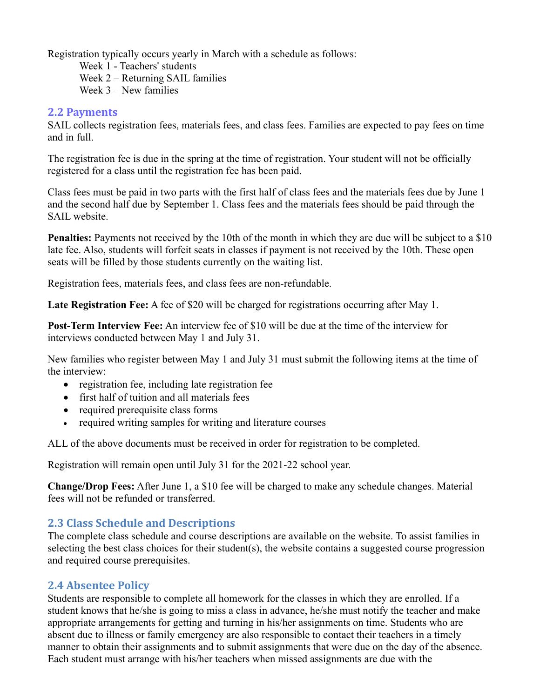Registration typically occurs yearly in March with a schedule as follows:

 Week 1 - Teachers' students Week 2 – Returning SAIL families Week 3 – New families

#### **2.2 Payments**

SAIL collects registration fees, materials fees, and class fees. Families are expected to pay fees on time and in full.

The registration fee is due in the spring at the time of registration. Your student will not be officially registered for a class until the registration fee has been paid.

Class fees must be paid in two parts with the first half of class fees and the materials fees due by June 1 and the second half due by September 1. Class fees and the materials fees should be paid through the SAIL website.

**Penalties:** Payments not received by the 10th of the month in which they are due will be subject to a \$10 late fee. Also, students will forfeit seats in classes if payment is not received by the 10th. These open seats will be filled by those students currently on the waiting list.

Registration fees, materials fees, and class fees are non-refundable.

**Late Registration Fee:** A fee of \$20 will be charged for registrations occurring after May 1.

**Post-Term Interview Fee:** An interview fee of \$10 will be due at the time of the interview for interviews conducted between May 1 and July 31.

New families who register between May 1 and July 31 must submit the following items at the time of the interview:

- registration fee, including late registration fee
- first half of tuition and all materials fees
- required prerequisite class forms
- required writing samples for writing and literature courses

ALL of the above documents must be received in order for registration to be completed.

Registration will remain open until July 31 for the 2021-22 school year.

**Change/Drop Fees:** After June 1, a \$10 fee will be charged to make any schedule changes. Material fees will not be refunded or transferred.

# **2.3 Class Schedule and Descriptions**

The complete class schedule and course descriptions are available on the website. To assist families in selecting the best class choices for their student(s), the website contains a suggested course progression and required course prerequisites.

# **2.4 Absentee Policy**

Students are responsible to complete all homework for the classes in which they are enrolled. If a student knows that he/she is going to miss a class in advance, he/she must notify the teacher and make appropriate arrangements for getting and turning in his/her assignments on time. Students who are absent due to illness or family emergency are also responsible to contact their teachers in a timely manner to obtain their assignments and to submit assignments that were due on the day of the absence. Each student must arrange with his/her teachers when missed assignments are due with the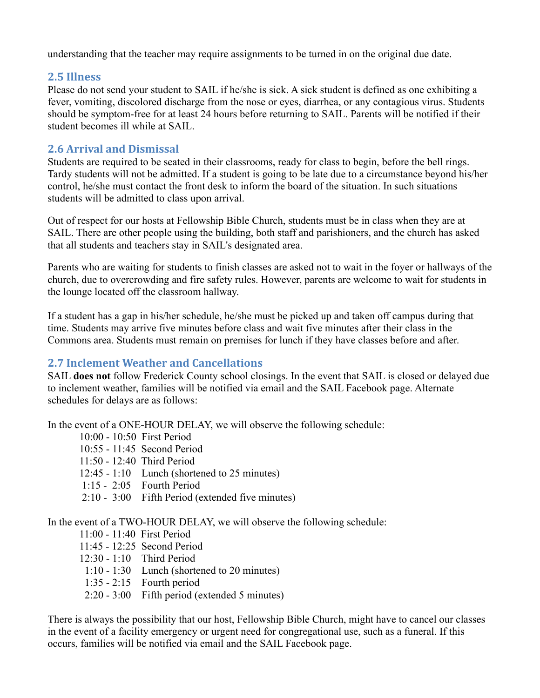understanding that the teacher may require assignments to be turned in on the original due date.

# **2.5 Illness**

Please do not send your student to SAIL if he/she is sick. A sick student is defined as one exhibiting a fever, vomiting, discolored discharge from the nose or eyes, diarrhea, or any contagious virus. Students should be symptom-free for at least 24 hours before returning to SAIL. Parents will be notified if their student becomes ill while at SAIL.

# **2.6 Arrival and Dismissal**

Students are required to be seated in their classrooms, ready for class to begin, before the bell rings. Tardy students will not be admitted. If a student is going to be late due to a circumstance beyond his/her control, he/she must contact the front desk to inform the board of the situation. In such situations students will be admitted to class upon arrival.

Out of respect for our hosts at Fellowship Bible Church, students must be in class when they are at SAIL. There are other people using the building, both staff and parishioners, and the church has asked that all students and teachers stay in SAIL's designated area.

Parents who are waiting for students to finish classes are asked not to wait in the foyer or hallways of the church, due to overcrowding and fire safety rules. However, parents are welcome to wait for students in the lounge located off the classroom hallway.

If a student has a gap in his/her schedule, he/she must be picked up and taken off campus during that time. Students may arrive five minutes before class and wait five minutes after their class in the Commons area. Students must remain on premises for lunch if they have classes before and after.

# **2.7 Inclement Weather and Cancellations**

SAIL **does not** follow Frederick County school closings. In the event that SAIL is closed or delayed due to inclement weather, families will be notified via email and the SAIL Facebook page. Alternate schedules for delays are as follows:

In the event of a ONE-HOUR DELAY, we will observe the following schedule:

 10:00 - 10:50 First Period 10:55 - 11:45 Second Period 11:50 - 12:40 Third Period 12:45 - 1:10 Lunch (shortened to 25 minutes) 1:15 - 2:05 Fourth Period 2:10 - 3:00 Fifth Period (extended five minutes)

In the event of a TWO-HOUR DELAY, we will observe the following schedule:

11:00 - 11:40 First Period

- 11:45 12:25 Second Period
- 12:30 1:10 Third Period
- 1:10 1:30 Lunch (shortened to 20 minutes)
- 1:35 2:15 Fourth period
- 2:20 3:00 Fifth period (extended 5 minutes)

There is always the possibility that our host, Fellowship Bible Church, might have to cancel our classes in the event of a facility emergency or urgent need for congregational use, such as a funeral. If this occurs, families will be notified via email and the SAIL Facebook page.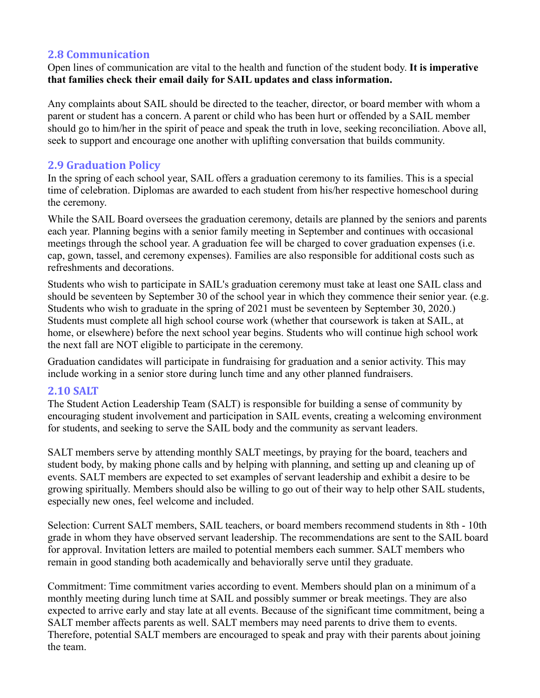# **2.8 Communication**

Open lines of communication are vital to the health and function of the student body. **It is imperative that families check their email daily for SAIL updates and class information.** 

Any complaints about SAIL should be directed to the teacher, director, or board member with whom a parent or student has a concern. A parent or child who has been hurt or offended by a SAIL member should go to him/her in the spirit of peace and speak the truth in love, seeking reconciliation. Above all, seek to support and encourage one another with uplifting conversation that builds community.

# **2.9 Graduation Policy**

In the spring of each school year, SAIL offers a graduation ceremony to its families. This is a special time of celebration. Diplomas are awarded to each student from his/her respective homeschool during the ceremony.

While the SAIL Board oversees the graduation ceremony, details are planned by the seniors and parents each year. Planning begins with a senior family meeting in September and continues with occasional meetings through the school year. A graduation fee will be charged to cover graduation expenses (i.e. cap, gown, tassel, and ceremony expenses). Families are also responsible for additional costs such as refreshments and decorations.

Students who wish to participate in SAIL's graduation ceremony must take at least one SAIL class and should be seventeen by September 30 of the school year in which they commence their senior year. (e.g. Students who wish to graduate in the spring of 2021 must be seventeen by September 30, 2020.) Students must complete all high school course work (whether that coursework is taken at SAIL, at home, or elsewhere) before the next school year begins. Students who will continue high school work the next fall are NOT eligible to participate in the ceremony.

Graduation candidates will participate in fundraising for graduation and a senior activity. This may include working in a senior store during lunch time and any other planned fundraisers.

#### **2.10 SALT**

The Student Action Leadership Team (SALT) is responsible for building a sense of community by encouraging student involvement and participation in SAIL events, creating a welcoming environment for students, and seeking to serve the SAIL body and the community as servant leaders.

SALT members serve by attending monthly SALT meetings, by praying for the board, teachers and student body, by making phone calls and by helping with planning, and setting up and cleaning up of events. SALT members are expected to set examples of servant leadership and exhibit a desire to be growing spiritually. Members should also be willing to go out of their way to help other SAIL students, especially new ones, feel welcome and included.

Selection: Current SALT members, SAIL teachers, or board members recommend students in 8th - 10th grade in whom they have observed servant leadership. The recommendations are sent to the SAIL board for approval. Invitation letters are mailed to potential members each summer. SALT members who remain in good standing both academically and behaviorally serve until they graduate.

Commitment: Time commitment varies according to event. Members should plan on a minimum of a monthly meeting during lunch time at SAIL and possibly summer or break meetings. They are also expected to arrive early and stay late at all events. Because of the significant time commitment, being a SALT member affects parents as well. SALT members may need parents to drive them to events. Therefore, potential SALT members are encouraged to speak and pray with their parents about joining the team.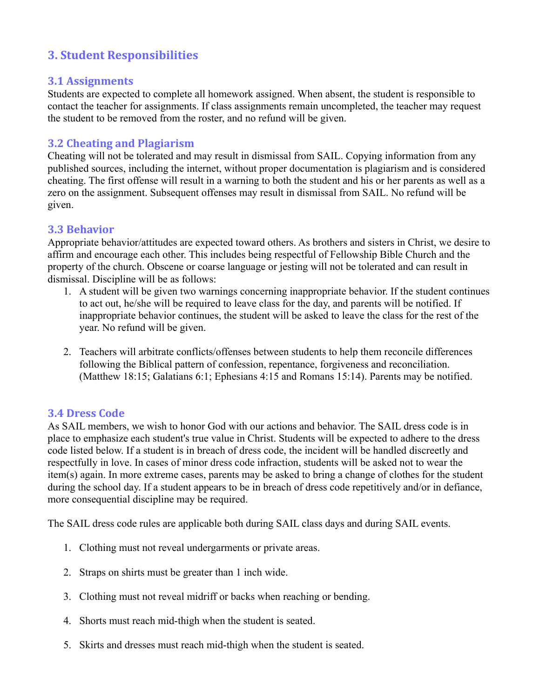# **3. Student Responsibilities**

#### **3.1 Assignments**

Students are expected to complete all homework assigned. When absent, the student is responsible to contact the teacher for assignments. If class assignments remain uncompleted, the teacher may request the student to be removed from the roster, and no refund will be given.

#### **3.2 Cheating and Plagiarism**

Cheating will not be tolerated and may result in dismissal from SAIL. Copying information from any published sources, including the internet, without proper documentation is plagiarism and is considered cheating. The first offense will result in a warning to both the student and his or her parents as well as a zero on the assignment. Subsequent offenses may result in dismissal from SAIL. No refund will be given.

#### **3.3 Behavior**

Appropriate behavior/attitudes are expected toward others. As brothers and sisters in Christ, we desire to affirm and encourage each other. This includes being respectful of Fellowship Bible Church and the property of the church. Obscene or coarse language or jesting will not be tolerated and can result in dismissal. Discipline will be as follows:

- 1. A student will be given two warnings concerning inappropriate behavior. If the student continues to act out, he/she will be required to leave class for the day, and parents will be notified. If inappropriate behavior continues, the student will be asked to leave the class for the rest of the year. No refund will be given.
- 2. Teachers will arbitrate conflicts/offenses between students to help them reconcile differences following the Biblical pattern of confession, repentance, forgiveness and reconciliation. (Matthew 18:15; Galatians 6:1; Ephesians 4:15 and Romans 15:14). Parents may be notified.

#### **3.4 Dress Code**

As SAIL members, we wish to honor God with our actions and behavior. The SAIL dress code is in place to emphasize each student's true value in Christ. Students will be expected to adhere to the dress code listed below. If a student is in breach of dress code, the incident will be handled discreetly and respectfully in love. In cases of minor dress code infraction, students will be asked not to wear the item(s) again. In more extreme cases, parents may be asked to bring a change of clothes for the student during the school day. If a student appears to be in breach of dress code repetitively and/or in defiance, more consequential discipline may be required.

The SAIL dress code rules are applicable both during SAIL class days and during SAIL events.

- 1. Clothing must not reveal undergarments or private areas.
- 2. Straps on shirts must be greater than 1 inch wide.
- 3. Clothing must not reveal midriff or backs when reaching or bending.
- 4. Shorts must reach mid-thigh when the student is seated.
- 5. Skirts and dresses must reach mid-thigh when the student is seated.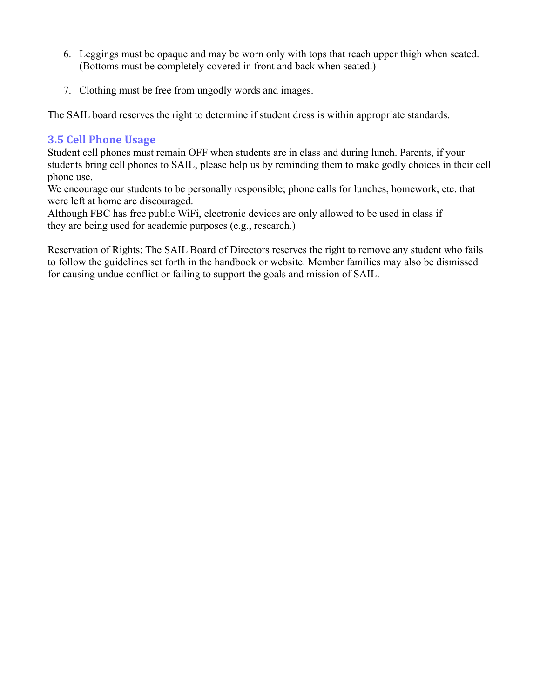- 6. Leggings must be opaque and may be worn only with tops that reach upper thigh when seated. (Bottoms must be completely covered in front and back when seated.)
- 7. Clothing must be free from ungodly words and images.

The SAIL board reserves the right to determine if student dress is within appropriate standards.

# **3.5 Cell Phone Usage**

Student cell phones must remain OFF when students are in class and during lunch. Parents, if your students bring cell phones to SAIL, please help us by reminding them to make godly choices in their cell phone use.

We encourage our students to be personally responsible; phone calls for lunches, homework, etc. that were left at home are discouraged.

Although FBC has free public WiFi, electronic devices are only allowed to be used in class if they are being used for academic purposes (e.g., research.)

Reservation of Rights: The SAIL Board of Directors reserves the right to remove any student who fails to follow the guidelines set forth in the handbook or website. Member families may also be dismissed for causing undue conflict or failing to support the goals and mission of SAIL.